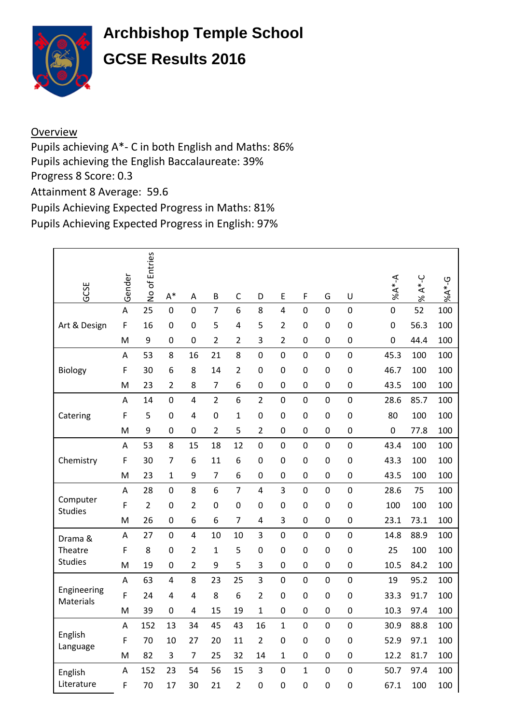

## **Archbishop Temple School GCSE Results 2016**

## **Overview**

Pupils achieving A\*- C in both English and Maths: 86% Pupils achieving the English Baccalaureate: 39% Progress 8 Score: 0.3 Attainment 8 Average: 59.6

Pupils Achieving Expected Progress in Maths: 81%

Pupils Achieving Expected Progress in English: 97%

| GCSE                       | Gender | No of Entries  | $\mathsf{A}^*$          | A              | $\sf B$        | $\mathsf C$      | D                | E              | F                | G                | U                | $A^*AA$        | $A^*-C$<br>$\overline{\mathcal{S}}$ | $96A*-G$ |
|----------------------------|--------|----------------|-------------------------|----------------|----------------|------------------|------------------|----------------|------------------|------------------|------------------|----------------|-------------------------------------|----------|
|                            | A      | 25             | $\overline{0}$          | $\overline{0}$ | $\overline{7}$ | $\overline{6}$   | 8                | $\overline{4}$ | $\overline{0}$   | $\overline{0}$   | $\overline{0}$   | $\overline{0}$ | 52                                  | 100      |
| Art & Design               | F      | 16             | $\mathbf 0$             | $\mathbf 0$    | 5              | 4                | 5                | $\overline{2}$ | $\mathbf 0$      | $\mathbf 0$      | $\mathbf 0$      | $\mathbf 0$    | 56.3                                | 100      |
|                            | M      | 9              | $\mathbf 0$             | $\mathbf 0$    | $\overline{2}$ | 2                | 3                | $\overline{2}$ | $\mathbf 0$      | $\mathbf 0$      | $\mathbf 0$      | $\mathbf 0$    | 44.4                                | 100      |
|                            | A      | 53             | 8                       | 16             | 21             | 8                | $\mathbf 0$      | $\mathbf 0$    | $\mathbf 0$      | $\mathbf 0$      | $\mathbf 0$      | 45.3           | 100                                 | 100      |
| Biology                    | F      | 30             | 6                       | 8              | 14             | $\overline{2}$   | $\mathbf 0$      | $\mathbf 0$    | $\mathbf 0$      | $\mathbf 0$      | $\mathbf 0$      | 46.7           | 100                                 | 100      |
|                            | M      | 23             | $\overline{2}$          | 8              | $\overline{7}$ | 6                | $\boldsymbol{0}$ | $\mathbf 0$    | $\mathbf 0$      | $\mathbf 0$      | $\boldsymbol{0}$ | 43.5           | 100                                 | 100      |
|                            | A      | 14             | $\mathbf 0$             | $\overline{4}$ | $\overline{2}$ | 6                | $\overline{2}$   | $\mathbf 0$    | $\boldsymbol{0}$ | $\mathbf 0$      | $\mathbf 0$      | 28.6           | 85.7                                | 100      |
| Catering                   | F      | 5              | $\mathbf 0$             | $\overline{4}$ | 0              | $\mathbf{1}$     | $\mathbf 0$      | $\mathbf 0$    | $\boldsymbol{0}$ | $\mathbf 0$      | $\mathbf 0$      | 80             | 100                                 | 100      |
|                            | M      | 9              | $\mathbf 0$             | $\mathbf 0$    | $\overline{2}$ | 5                | $\overline{2}$   | $\mathbf 0$    | $\mathbf 0$      | $\mathbf 0$      | $\mathbf 0$      | $\mathbf 0$    | 77.8                                | 100      |
|                            | A      | 53             | 8                       | 15             | 18             | 12               | $\boldsymbol{0}$ | $\overline{0}$ | $\mathbf 0$      | $\mathbf 0$      | $\mathbf 0$      | 43.4           | 100                                 | 100      |
| Chemistry                  | F      | 30             | 7                       | 6              | 11             | 6                | $\boldsymbol{0}$ | $\mathbf 0$    | $\mathbf 0$      | $\mathbf 0$      | $\mathbf 0$      | 43.3           | 100                                 | 100      |
|                            | M      | 23             | $\mathbf{1}$            | 9              | $\overline{7}$ | 6                | $\boldsymbol{0}$ | $\mathbf 0$    | $\boldsymbol{0}$ | $\mathbf 0$      | $\mathbf 0$      | 43.5           | 100                                 | 100      |
|                            | A      | 28             | $\mathbf 0$             | 8              | 6              | $\overline{7}$   | 4                | 3              | $\mathbf 0$      | $\mathbf 0$      | $\mathbf 0$      | 28.6           | 75                                  | 100      |
| Computer<br><b>Studies</b> | F      | $\overline{2}$ | $\mathbf 0$             | $\overline{2}$ | $\mathbf 0$    | $\boldsymbol{0}$ | $\boldsymbol{0}$ | $\mathbf 0$    | $\mathbf 0$      | $\mathbf 0$      | $\mathbf 0$      | 100            | 100                                 | 100      |
|                            | M      | 26             | $\mathbf 0$             | 6              | 6              | 7                | 4                | 3              | $\mathbf 0$      | $\boldsymbol{0}$ | $\mathbf 0$      | 23.1           | 73.1                                | 100      |
| Drama &                    | A      | 27             | $\mathbf 0$             | $\overline{4}$ | 10             | 10               | 3                | $\mathbf 0$    | $\mathbf 0$      | $\mathbf 0$      | $\mathbf 0$      | 14.8           | 88.9                                | 100      |
| Theatre                    | F      | 8              | $\mathbf 0$             | $\overline{2}$ | $\mathbf{1}$   | 5                | $\mathbf 0$      | $\mathbf 0$    | $\mathbf 0$      | $\mathbf 0$      | $\mathbf 0$      | 25             | 100                                 | 100      |
| <b>Studies</b>             | M      | 19             | $\mathbf 0$             | $\overline{2}$ | 9              | 5                | 3                | $\mathbf 0$    | $\mathbf 0$      | $\mathbf 0$      | $\mathbf 0$      | 10.5           | 84.2                                | 100      |
|                            | A      | 63             | $\overline{\mathbf{4}}$ | 8              | 23             | 25               | 3                | $\mathbf 0$    | $\boldsymbol{0}$ | $\mathbf 0$      | $\mathbf 0$      | 19             | 95.2                                | 100      |
| Engineering<br>Materials   | F      | 24             | 4                       | 4              | 8              | 6                | $\overline{2}$   | $\mathbf 0$    | $\mathbf 0$      | $\mathbf 0$      | $\overline{0}$   | 33.3           | 91.7                                | 100      |
|                            | M      | 39             | 0                       | 4              | 15             | 19               | $\mathbf{1}$     | $\mathbf 0$    | 0                | $\mathbf 0$      | 0                | 10.3           | 97.4                                | 100      |
|                            | A      | 152            | 13                      | 34             | 45             | 43               | 16               | $\mathbf{1}$   | $\mathbf 0$      | $\mathbf 0$      | $\mathbf 0$      | 30.9           | 88.8                                | 100      |
| English<br>Language        | F      | 70             | 10                      | 27             | 20             | 11               | $\overline{2}$   | $\mathbf 0$    | $\mathbf 0$      | $\mathbf 0$      | $\mathbf 0$      | 52.9           | 97.1                                | 100      |
|                            | M      | 82             | 3                       | $\overline{7}$ | 25             | 32               | 14               | $\mathbf 1$    | $\mathbf 0$      | $\mathbf 0$      | $\mathbf 0$      | 12.2           | 81.7                                | 100      |
| English                    | A      | 152            | 23                      | 54             | 56             | 15               | 3                | $\mathbf 0$    | $\mathbf{1}$     | $\mathbf 0$      | $\mathbf 0$      | 50.7           | 97.4                                | 100      |
| Literature                 | F      | 70             | 17                      | 30             | 21             | $\overline{2}$   | $\overline{0}$   | $\mathbf 0$    | 0                | $\mathbf 0$      | 0                | 67.1           | 100                                 | 100      |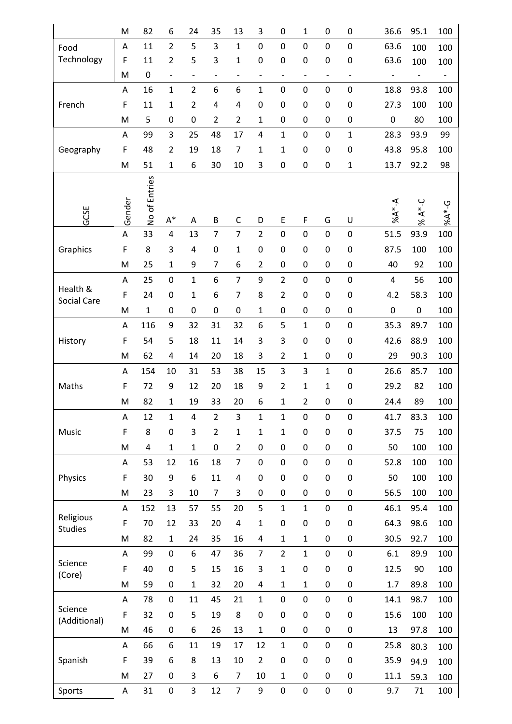|                             | M            | 82            | 6                 | 24                | 35                       | 13                       | 3                 | $\mathbf 0$       | 1                 | $\mathbf 0$              | 0                 | 36.6      | 95.1                     | 100               |
|-----------------------------|--------------|---------------|-------------------|-------------------|--------------------------|--------------------------|-------------------|-------------------|-------------------|--------------------------|-------------------|-----------|--------------------------|-------------------|
| Food                        | A            | 11            | $\overline{2}$    | 5                 | 3                        | $\mathbf{1}$             | $\boldsymbol{0}$  | $\mathbf 0$       | $\boldsymbol{0}$  | $\boldsymbol{0}$         | $\pmb{0}$         | 63.6      | 100                      | 100               |
| Technology                  | F            | 11            | $\overline{2}$    | 5                 | 3                        | 1                        | $\boldsymbol{0}$  | $\mathbf 0$       | $\mathbf 0$       | $\mathbf 0$              | $\mathbf 0$       | 63.6      | 100                      | 100               |
|                             | M            | $\mathbf 0$   | $\qquad \qquad -$ | $\qquad \qquad -$ | $\overline{\phantom{0}}$ | $\overline{\phantom{a}}$ | $\qquad \qquad -$ | $\qquad \qquad -$ | $\qquad \qquad -$ | $\overline{\phantom{0}}$ | $\qquad \qquad -$ |           | $\overline{\phantom{a}}$ | $\qquad \qquad -$ |
|                             | A            | 16            | $\mathbf{1}$      | $\overline{2}$    | 6                        | 6                        | $\mathbf 1$       | $\pmb{0}$         | $\pmb{0}$         | $\mathbf 0$              | $\pmb{0}$         | 18.8      | 93.8                     | 100               |
| French                      | $\mathsf F$  | 11            | $\mathbf{1}$      | $\overline{2}$    | 4                        | $\pmb{4}$                | 0                 | $\mathbf 0$       | $\mathbf 0$       | $\mathbf 0$              | 0                 | 27.3      | 100                      | 100               |
|                             | M            | 5             | 0                 | 0                 | $\overline{2}$           | $\overline{2}$           | $\mathbf 1$       | $\boldsymbol{0}$  | $\boldsymbol{0}$  | $\boldsymbol{0}$         | $\boldsymbol{0}$  | 0         | 80                       | 100               |
|                             | Α            | 99            | 3                 | 25                | 48                       | 17                       | 4                 | $\mathbf 1$       | $\boldsymbol{0}$  | $\boldsymbol{0}$         | $\mathbf{1}$      | 28.3      | 93.9                     | 99                |
| Geography                   | F            | 48            | $\overline{2}$    | 19                | 18                       | $\overline{7}$           | $\mathbf 1$       | $\mathbf 1$       | $\pmb{0}$         | $\boldsymbol{0}$         | $\boldsymbol{0}$  | 43.8      | 95.8                     | 100               |
|                             | M            | 51            | $\mathbf{1}$      | 6                 | 30                       | 10                       | 3                 | $\boldsymbol{0}$  | $\boldsymbol{0}$  | $\boldsymbol{0}$         | $\mathbf{1}$      | 13.7      | 92.2                     | 98                |
|                             | Gender       | No of Entries |                   |                   |                          |                          |                   |                   |                   |                          |                   | $A^*A^*A$ | % $A^*$ -C               | $9 - * A * G$     |
| GCSE                        |              |               | $A^*$             | A                 | B                        | $\mathsf C$              | D                 | E                 | F                 | G                        | U                 |           |                          |                   |
|                             | A            | 33            | $\overline{4}$    | 13                | $\overline{7}$           | $\overline{7}$           | $\overline{2}$    | $\mathbf 0$       | $\mathbf 0$       | $\overline{0}$           | $\mathbf 0$       | 51.5      | 93.9                     | 100               |
| Graphics                    | $\mathsf F$  | 8             | 3                 | 4                 | 0                        | 1                        | 0                 | $\mathbf 0$       | $\mathbf 0$       | $\mathbf 0$              | 0                 | 87.5      | 100                      | 100               |
|                             | M            | 25            | $\mathbf{1}$      | 9                 | $\overline{7}$           | 6                        | $\overline{2}$    | $\mathbf 0$       | 0                 | $\mathbf 0$              | 0                 | 40        | 92                       | 100               |
| Health &                    | Α            | 25            | $\boldsymbol{0}$  | $\mathbf{1}$      | 6                        | $\overline{7}$           | 9                 | $\overline{2}$    | $\pmb{0}$         | $\mathbf 0$              | $\pmb{0}$         | 4         | 56                       | 100               |
| <b>Social Care</b>          | $\mathsf F$  | 24            | 0                 | 1                 | 6                        | $\overline{7}$           | 8                 | $\overline{2}$    | $\boldsymbol{0}$  | $\boldsymbol{0}$         | $\boldsymbol{0}$  | 4.2       | 58.3                     | 100               |
|                             | M            | $\mathbf{1}$  | 0                 | 0                 | 0                        | 0                        | $\mathbf{1}$      | $\boldsymbol{0}$  | 0                 | $\boldsymbol{0}$         | 0                 | 0         | $\pmb{0}$                | 100               |
| History                     | Α            | 116           | 9                 | 32                | 31                       | 32                       | 6                 | 5                 | $\mathbf{1}$      | $\mathbf 0$              | $\pmb{0}$         | 35.3      | 89.7                     | 100               |
|                             | F            | 54            | 5                 | 18                | 11                       | 14                       | 3                 | 3                 | $\boldsymbol{0}$  | $\mathbf 0$              | $\boldsymbol{0}$  | 42.6      | 88.9                     | 100               |
|                             | M            | 62            | 4                 | 14                | 20                       | 18                       | 3                 | $\overline{2}$    | $\mathbf{1}$      | $\boldsymbol{0}$         | 0                 | 29        | 90.3                     | 100               |
|                             | A            | 154           | 10                | 31                | 53                       | 38                       | 15                | 3                 | 3                 | $\mathbf 1$              | $\pmb{0}$         | 26.6      | 85.7                     | 100               |
| Maths                       | F            | 72            | 9                 | 12                | 20                       | 18                       | 9                 | $\overline{2}$    | $\mathbf 1$       | $\mathbf 1$              | $\mathbf 0$       | 29.2      | 82                       | 100               |
|                             | M            | 82            | $\mathbf{1}$      | 19                | 33                       | 20                       | 6                 | 1                 | 2                 | $\mathbf 0$              | 0                 | 24.4      | 89                       | 100               |
|                             | A            | 12            | $\mathbf{1}$      | 4                 | $\overline{2}$           | 3                        | $\mathbf{1}$      | $\mathbf{1}$      | $\mathbf 0$       | $\mathbf 0$              | $\mathbf 0$       | 41.7      | 83.3                     | 100               |
| Music                       | $\mathsf F$  | 8             | $\mathbf 0$       | 3                 | $\overline{2}$           | 1                        | $\mathbf{1}$      | $\mathbf{1}$      | $\boldsymbol{0}$  | $\mathbf 0$              | $\mathbf 0$       | 37.5      | 75                       | 100               |
|                             | M            | 4             | $\mathbf{1}$      | 1                 | $\boldsymbol{0}$         | $\overline{2}$           | $\boldsymbol{0}$  | $\pmb{0}$         | $\boldsymbol{0}$  | $\mathbf 0$              | $\boldsymbol{0}$  | 50        | 100                      | 100               |
|                             | A            | 53            | 12                | 16                | 18                       | $\overline{7}$           | $\mathbf 0$       | $\mathbf 0$       | $\pmb{0}$         | $\mathbf 0$              | $\mathbf 0$       | 52.8      | 100                      | 100               |
| Physics                     | $\mathsf F$  | 30            | 9                 | 6                 | 11                       | 4                        | $\boldsymbol{0}$  | $\mathbf 0$       | $\mathbf 0$       | $\mathbf 0$              | $\mathbf 0$       | 50        | 100                      | 100               |
|                             | M            | 23            | 3                 | 10                | 7                        | 3                        | $\boldsymbol{0}$  | $\pmb{0}$         | $\boldsymbol{0}$  | $\mathbf 0$              | $\boldsymbol{0}$  | 56.5      | 100                      | 100               |
|                             | Α            | 152           | 13                | 57                | 55                       | 20                       | 5                 | $\mathbf{1}$      | $\mathbf{1}$      | $\mathbf 0$              | $\boldsymbol{0}$  | 46.1      | 95.4                     | 100               |
| Religious<br><b>Studies</b> | $\mathsf{F}$ | 70            | 12                | 33                | 20                       | $\overline{\mathbf{r}}$  | $\mathbf 1$       | $\mathbf 0$       | $\pmb{0}$         | $\mathbf 0$              | $\mathbf 0$       | 64.3      | 98.6                     | 100               |
|                             | M            | 82            | $\mathbf{1}$      | 24                | 35                       | 16                       | 4                 | $\mathbf 1$       | $\mathbf 1$       | $\mathbf 0$              | $\boldsymbol{0}$  | 30.5      | 92.7                     | 100               |
|                             | A            | 99            | $\boldsymbol{0}$  | 6                 | 47                       | 36                       | $\overline{7}$    | $\overline{2}$    | $\mathbf{1}$      | $\mathbf 0$              | $\boldsymbol{0}$  | 6.1       | 89.9                     | 100               |
| Science<br>(Core)           | $\mathsf F$  | 40            | $\mathbf 0$       | 5                 | 15                       | 16                       | 3                 | 1                 | $\boldsymbol{0}$  | $\mathbf 0$              | $\mathbf 0$       | 12.5      | 90                       | 100               |
|                             | M            | 59            | 0                 | $\mathbf 1$       | 32                       | 20                       | 4                 | $\mathbf 1$       | $\mathbf{1}$      | $\boldsymbol{0}$         | 0                 | 1.7       | 89.8                     | 100               |
|                             | A            | 78            | 0                 | 11                | 45                       | 21                       | $\mathbf 1$       | $\pmb{0}$         | $\pmb{0}$         | $\mathbf 0$              | $\pmb{0}$         | 14.1      | 98.7                     | 100               |
| Science<br>(Additional)     | F            | 32            | $\mathbf 0$       | 5                 | 19                       | 8                        | $\boldsymbol{0}$  | $\pmb{0}$         | $\pmb{0}$         | $\boldsymbol{0}$         | $\boldsymbol{0}$  | 15.6      | 100                      | 100               |
|                             | M            | 46            | 0                 | 6                 | 26                       | 13                       | $\mathbf 1$       | $\boldsymbol{0}$  | $\boldsymbol{0}$  | $\boldsymbol{0}$         | 0                 | 13        | 97.8                     | 100               |
|                             | Α            | 66            | 6                 | 11                | 19                       | 17                       | 12                | $\mathbf 1$       | $\boldsymbol{0}$  | $\boldsymbol{0}$         | $\pmb{0}$         | 25.8      | 80.3                     | 100               |
| Spanish                     | $\mathsf F$  | 39            | 6                 | 8                 | 13                       | 10                       | $\overline{2}$    | $\mathbf 0$       | $\mathbf 0$       | $\mathbf 0$              | 0                 | 35.9      | 94.9                     | 100               |
|                             | M            | 27            | 0                 | 3                 | 6                        | 7                        | 10                | $\mathbf 1$       | $\boldsymbol{0}$  | $\boldsymbol{0}$         | 0                 | 11.1      | 59.3                     | 100               |
| Sports                      | Α            | 31            | 0                 | 3                 | 12                       | $\overline{7}$           | 9                 | $\boldsymbol{0}$  | $\pmb{0}$         | $\mathbf 0$              | $\pmb{0}$         | 9.7       | 71                       | 100               |